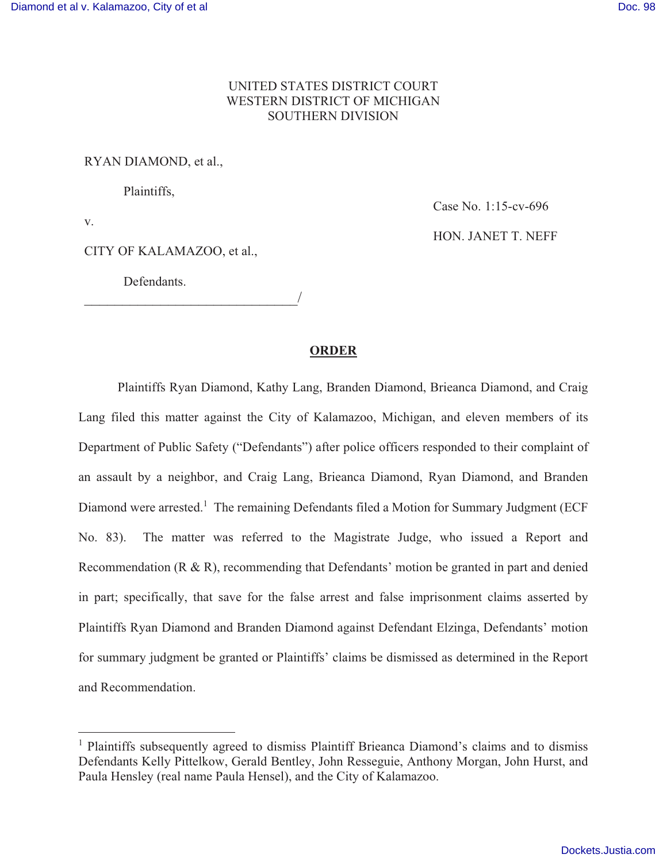## UNITED STATES DISTRICT COURT **WESTERN DISTRICT OF MICHIGAN SOUTHERN DIVISION**

## RYAN DIAMOND, et al.,

Plaintiffs,

 $V<sub>1</sub>$ 

CITY OF KALAMAZOO, et al.,

Defendants.

Case No. 1:15-cv-696 HON. JANET T. NEFF

## **ORDER**

Plaintiffs Ryan Diamond, Kathy Lang, Branden Diamond, Brieanca Diamond, and Craig Lang filed this matter against the City of Kalamazoo, Michigan, and eleven members of its Department of Public Safety ("Defendants") after police officers responded to their complaint of an assault by a neighbor, and Craig Lang, Brieanca Diamond, Ryan Diamond, and Branden Diamond were arrested.<sup>1</sup> The remaining Defendants filed a Motion for Summary Judgment (ECF No. 83). The matter was referred to the Magistrate Judge, who issued a Report and Recommendation  $(R \& R)$ , recommending that Defendants' motion be granted in part and denied in part; specifically, that save for the false arrest and false imprisonment claims asserted by Plaintiffs Ryan Diamond and Branden Diamond against Defendant Elzinga, Defendants' motion for summary judgment be granted or Plaintiffs' claims be dismissed as determined in the Report and Recommendation

<sup>&</sup>lt;sup>1</sup> Plaintiffs subsequently agreed to dismiss Plaintiff Brieanca Diamond's claims and to dismiss Defendants Kelly Pittelkow, Gerald Bentley, John Resseguie, Anthony Morgan, John Hurst, and Paula Hensley (real name Paula Hensel), and the City of Kalamazoo.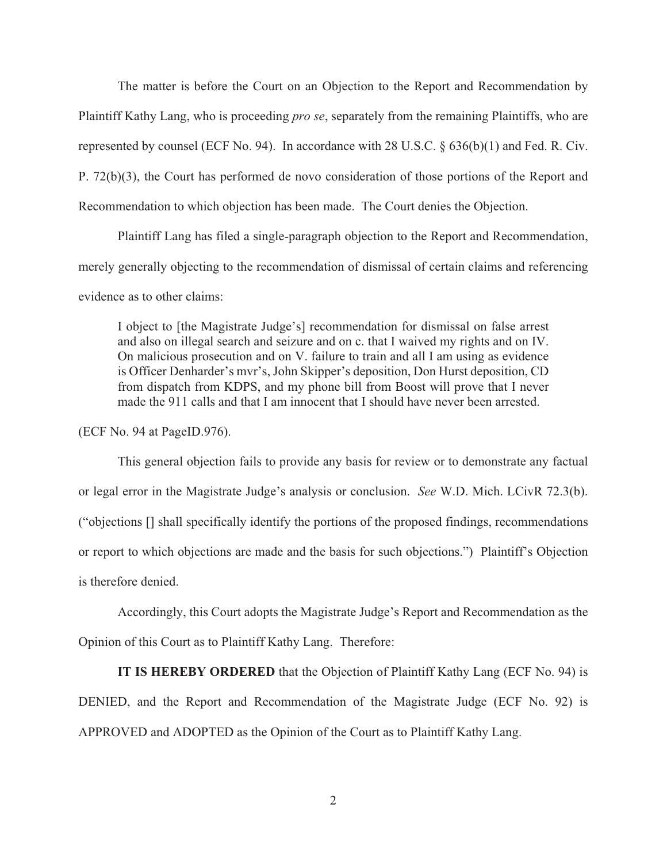The matter is before the Court on an Objection to the Report and Recommendation by Plaintiff Kathy Lang, who is proceeding *pro se*, separately from the remaining Plaintiffs, who are represented by counsel (ECF No. 94). In accordance with 28 U.S.C.  $\S$  636(b)(1) and Fed. R. Civ. P.  $72(b)(3)$ , the Court has performed de novo consideration of those portions of the Report and Recommendation to which objection has been made. The Court denies the Objection.

Plaintiff Lang has filed a single-paragraph objection to the Report and Recommendation, merely generally objecting to the recommendation of dismissal of certain claims and referencing evidence as to other claims.

I object to [the Magistrate Judge's] recommendation for dismissal on false arrest and also on illegal search and seizure and on c. that I waived my rights and on IV. On malicious prosecution and on V. failure to train and all I am using as evidence is Officer Denharder's myr's, John Skipper's deposition, Don Hurst deposition, CD from dispatch from KDPS, and my phone bill from Boost will prove that I never made the 911 calls and that I am innocent that I should have never been arrested.

(ECF No. 94 at PageID.976).

This general objection fails to provide any basis for review or to demonstrate any factual or legal error in the Magistrate Judge's analysis or conclusion. See W.D. Mich. LCivR 72.3(b). ("objections [] shall specifically identify the portions of the proposed findings, recommendations or report to which objections are made and the basis for such objections.") Plaintiff's Objection is therefore denied.

Accordingly, this Court adopts the Magistrate Judge's Report and Recommendation as the Opinion of this Court as to Plaintiff Kathy Lang. Therefore:

**IT IS HEREBY ORDERED** that the Objection of Plaintiff Kathy Lang (ECF No. 94) is DENIED, and the Report and Recommendation of the Magistrate Judge (ECF No. 92) is APPROVED and ADOPTED as the Opinion of the Court as to Plaintiff Kathy Lang.